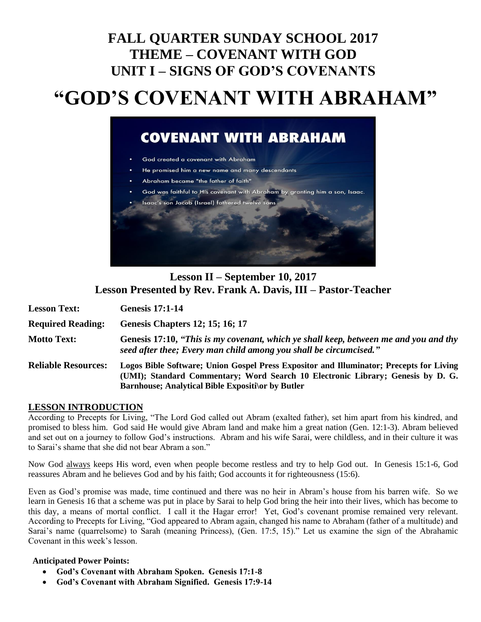# **FALL QUARTER SUNDAY SCHOOL 2017 THEME – COVENANT WITH GOD UNIT I – SIGNS OF GOD'S COVENANTS**

# **"GOD'S COVENANT WITH ABRAHAM"**

# **COVENANT WITH ABRAHAM**

- God created a covenant with Abraham
- He promised him a new name and many descendants
- Abraham became "the father of faith"
- God was faithful to His covenant with Abraham by granting him a son, Isaac.



**Lesson II – September 10, 2017 Lesson Presented by Rev. Frank A. Davis, III – Pastor-Teacher**

| <b>Lesson Text:</b>        | <b>Genesis 17:1-14</b>                                                                                                                                                                                                                |
|----------------------------|---------------------------------------------------------------------------------------------------------------------------------------------------------------------------------------------------------------------------------------|
| <b>Required Reading:</b>   | <b>Genesis Chapters 12: 15: 16: 17</b>                                                                                                                                                                                                |
| <b>Motto Text:</b>         | Genesis 17:10, "This is my covenant, which ye shall keep, between me and you and thy<br>seed after thee; Every man child among you shall be circumcised."                                                                             |
| <b>Reliable Resources:</b> | Logos Bible Software; Union Gospel Press Expositor and Illuminator; Precepts for Living<br>(UMI); Standard Commentary; Word Search 10 Electronic Library; Genesis by D. G.<br><b>Barnhouse; Analytical Bible Exposition by Butler</b> |

#### **LESSON INTRODUCTION**

According to Precepts for Living, "The Lord God called out Abram (exalted father), set him apart from his kindred, and promised to bless him. God said He would give Abram land and make him a great nation (Gen. 12:1-3). Abram believed and set out on a journey to follow God's instructions. Abram and his wife Sarai, were childless, and in their culture it was to Sarai's shame that she did not bear Abram a son."

Now God always keeps His word, even when people become restless and try to help God out. In Genesis 15:1-6, God reassures Abram and he believes God and by his faith; God accounts it for righteousness (15:6).

Even as God's promise was made, time continued and there was no heir in Abram's house from his barren wife. So we learn in Genesis 16 that a scheme was put in place by Sarai to help God bring the heir into their lives, which has become to this day, a means of mortal conflict. I call it the Hagar error! Yet, God's covenant promise remained very relevant. According to Precepts for Living, "God appeared to Abram again, changed his name to Abraham (father of a multitude) and Sarai's name (quarrelsome) to Sarah (meaning Princess), (Gen. 17:5, 15)." Let us examine the sign of the Abrahamic Covenant in this week's lesson.

#### **Anticipated Power Points:**

- **God's Covenant with Abraham Spoken. Genesis 17:1-8**
- **God's Covenant with Abraham Signified. Genesis 17:9-14**